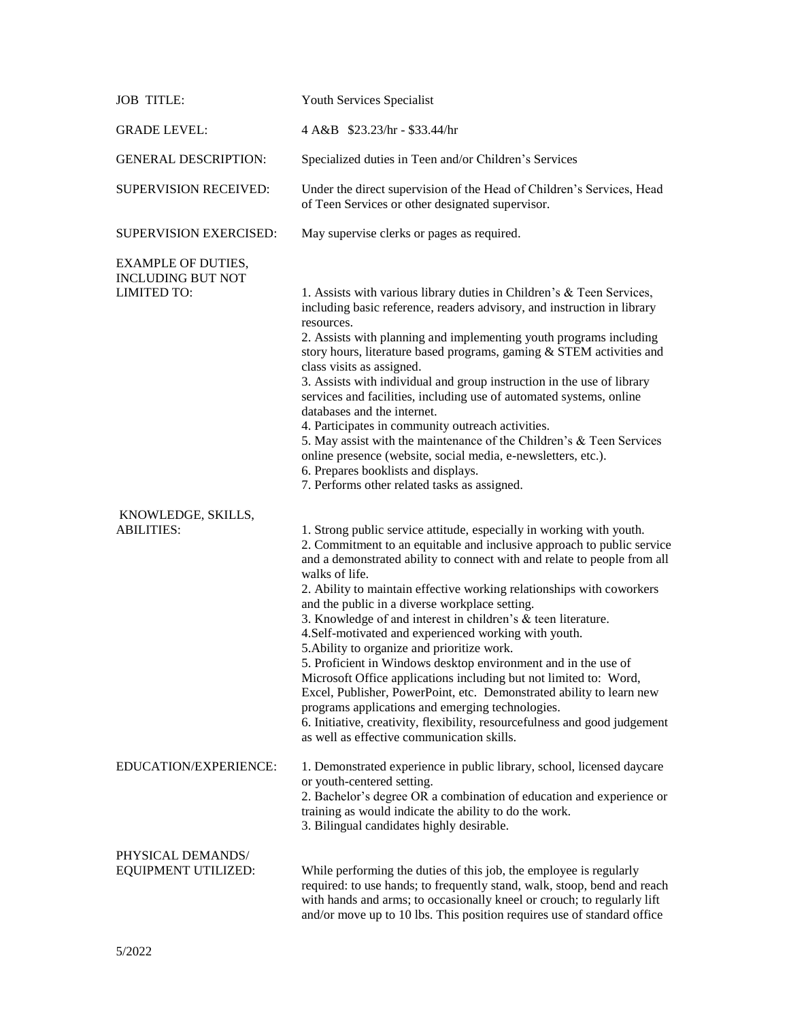| <b>JOB TITLE:</b>                                                           | Youth Services Specialist                                                                                                                                                                                                                                                                                                                                                                                                                                                                                                                                                                                                                                                                                                                                                                                                                                                                                                                      |
|-----------------------------------------------------------------------------|------------------------------------------------------------------------------------------------------------------------------------------------------------------------------------------------------------------------------------------------------------------------------------------------------------------------------------------------------------------------------------------------------------------------------------------------------------------------------------------------------------------------------------------------------------------------------------------------------------------------------------------------------------------------------------------------------------------------------------------------------------------------------------------------------------------------------------------------------------------------------------------------------------------------------------------------|
| <b>GRADE LEVEL:</b>                                                         | 4 A&B \$23.23/hr - \$33.44/hr                                                                                                                                                                                                                                                                                                                                                                                                                                                                                                                                                                                                                                                                                                                                                                                                                                                                                                                  |
| <b>GENERAL DESCRIPTION:</b>                                                 | Specialized duties in Teen and/or Children's Services                                                                                                                                                                                                                                                                                                                                                                                                                                                                                                                                                                                                                                                                                                                                                                                                                                                                                          |
| <b>SUPERVISION RECEIVED:</b>                                                | Under the direct supervision of the Head of Children's Services, Head<br>of Teen Services or other designated supervisor.                                                                                                                                                                                                                                                                                                                                                                                                                                                                                                                                                                                                                                                                                                                                                                                                                      |
| SUPERVISION EXERCISED:                                                      | May supervise clerks or pages as required.                                                                                                                                                                                                                                                                                                                                                                                                                                                                                                                                                                                                                                                                                                                                                                                                                                                                                                     |
| <b>EXAMPLE OF DUTIES,</b><br><b>INCLUDING BUT NOT</b><br><b>LIMITED TO:</b> | 1. Assists with various library duties in Children's & Teen Services,<br>including basic reference, readers advisory, and instruction in library<br>resources.<br>2. Assists with planning and implementing youth programs including<br>story hours, literature based programs, gaming & STEM activities and<br>class visits as assigned.<br>3. Assists with individual and group instruction in the use of library<br>services and facilities, including use of automated systems, online<br>databases and the internet.<br>4. Participates in community outreach activities.<br>5. May assist with the maintenance of the Children's & Teen Services<br>online presence (website, social media, e-newsletters, etc.).<br>6. Prepares booklists and displays.<br>7. Performs other related tasks as assigned.                                                                                                                                 |
| KNOWLEDGE, SKILLS,<br><b>ABILITIES:</b>                                     | 1. Strong public service attitude, especially in working with youth.<br>2. Commitment to an equitable and inclusive approach to public service<br>and a demonstrated ability to connect with and relate to people from all<br>walks of life.<br>2. Ability to maintain effective working relationships with coworkers<br>and the public in a diverse workplace setting.<br>3. Knowledge of and interest in children's & teen literature.<br>4.Self-motivated and experienced working with youth.<br>5. Ability to organize and prioritize work.<br>5. Proficient in Windows desktop environment and in the use of<br>Microsoft Office applications including but not limited to: Word,<br>Excel, Publisher, PowerPoint, etc. Demonstrated ability to learn new<br>programs applications and emerging technologies.<br>6. Initiative, creativity, flexibility, resourcefulness and good judgement<br>as well as effective communication skills. |
| EDUCATION/EXPERIENCE:                                                       | 1. Demonstrated experience in public library, school, licensed daycare<br>or youth-centered setting.<br>2. Bachelor's degree OR a combination of education and experience or<br>training as would indicate the ability to do the work.<br>3. Bilingual candidates highly desirable.                                                                                                                                                                                                                                                                                                                                                                                                                                                                                                                                                                                                                                                            |
| PHYSICAL DEMANDS/<br><b>EQUIPMENT UTILIZED:</b>                             | While performing the duties of this job, the employee is regularly<br>required: to use hands; to frequently stand, walk, stoop, bend and reach<br>with hands and arms; to occasionally kneel or crouch; to regularly lift<br>and/or move up to 10 lbs. This position requires use of standard office                                                                                                                                                                                                                                                                                                                                                                                                                                                                                                                                                                                                                                           |